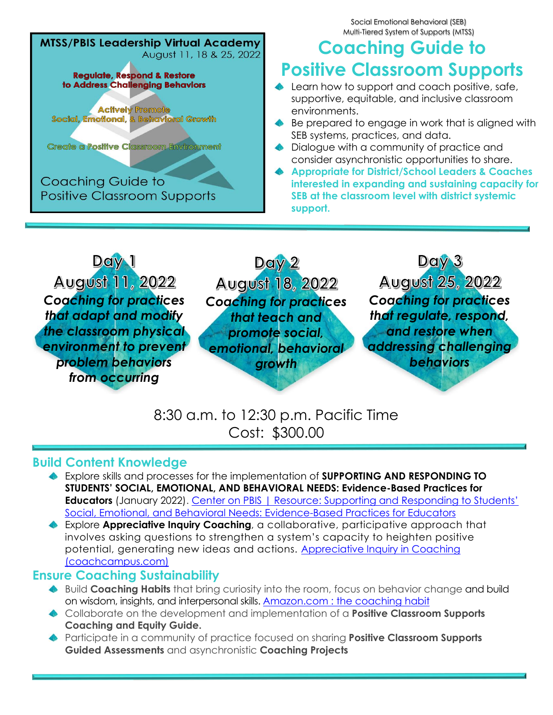**MTSS/PBIS Leadership Virtual Academy** August 11, 18 & 25, 2022 **Regulate, Respond & Restore** to Address Challenging Behaviors **Actively Promote** Social, Emotional, & Behavioral Growth Create a Positive Classroom Environment **Coaching Guide to Positive Classroom Supports** 

Social Emotional Behavioral (SEB) Multi-Tiered System of Supports (MTSS)

# **Coaching Guide to Positive Classroom Supports**

- **▲** Learn how to support and coach positive, safe, supportive, equitable, and inclusive classroom environments.
- ◆ Be prepared to engage in work that is aligned with SEB systems, practices, and data.
- **◆** Dialogue with a community of practice and consider asynchronistic opportunities to share.
- **Appropriate for District/School Leaders & Coaches interested in expanding and sustaining capacity for SEB at the classroom level with district systemic support.**



8:30 a.m. to 12:30 p.m. Pacific Time Cost: \$300.00

## **Build Content Knowledge**

- Explore skills and processes for the implementation of **SUPPORTING AND RESPONDING TO STUDENTS' SOCIAL, EMOTIONAL, AND BEHAVIORAL NEEDS: Evidence-Based Practices for Educators** (January 2022). Center on PBIS | Resource: Supporting and Responding to Students' Social, Emotional, and Behavioral Needs: Evidence-Based Practices for Educators
- Explore **Appreciative Inquiry Coaching**, a collaborative, participative approach that involves asking questions to strengthen a system's capacity to heighten positive potential, generating new ideas and actions. Appreciative Inquiry in Coaching (coachcampus.com)

## **Ensure Coaching Sustainability**

- Build **Coaching Habits** that bring curiosity into the room, focus on behavior change and build on wisdom, insights, and interpersonal skills. Amazon.com : the coaching habit
- Collaborate on the development and implementation of a **Positive Classroom Supports Coaching and Equity Guide.**
- ◆ Participate in a community of practice focused on sharing **Positive Classroom Supports Guided Assessments** and asynchronistic **Coaching Projects**